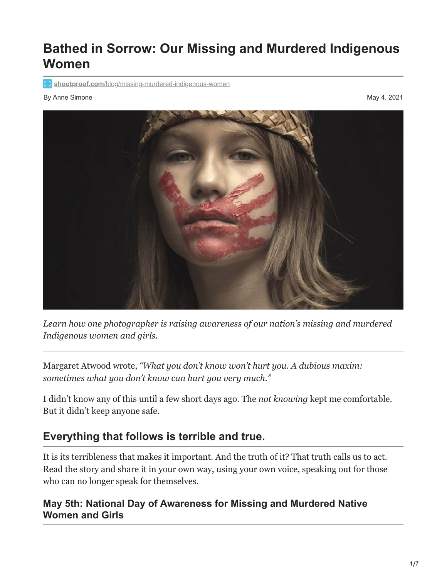# **Bathed in Sorrow: Our Missing and Murdered Indigenous Women**

**shootproof.com**[/blog/missing-murdered-indigenous-women](https://www.shootproof.com/blog/missing-murdered-indigenous-women/)

#### By Anne Simone May 4, 2021



*Learn how one photographer is raising awareness of our nation's missing and murdered Indigenous women and girls.*

Margaret Atwood wrote, *"What you don't know won't hurt you. A dubious maxim: sometimes what you don't know can hurt you very much."* 

I didn't know any of this until a few short days ago. The *not knowing* kept me comfortable. But it didn't keep anyone safe.

# **Everything that follows is terrible and true.**

It is its terribleness that makes it important. And the truth of it? That truth calls us to act. Read the story and share it in your own way, using your own voice, speaking out for those who can no longer speak for themselves.

### **May 5th: National Day of Awareness for Missing and Murdered Native Women and Girls**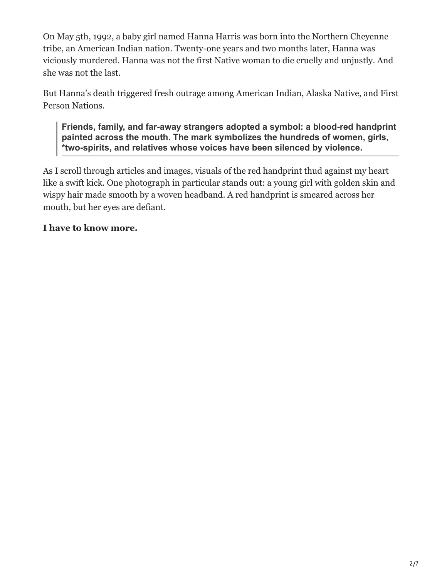On May 5th, 1992, a baby girl named Hanna Harris was born into the Northern Cheyenne tribe, an American Indian nation. Twenty-one years and two months later, Hanna was viciously murdered. Hanna was not the first Native woman to die cruelly and unjustly. And she was not the last.

But Hanna's death triggered fresh outrage among American Indian, Alaska Native, and First Person Nations.

**Friends, family, and far-away strangers adopted a symbol: a blood-red handprint painted across the mouth. The mark symbolizes the hundreds of women, girls, \*two-spirits, and relatives whose voices have been silenced by violence.**

As I scroll through articles and images, visuals of the red handprint thud against my heart like a swift kick. One photograph in particular stands out: a young girl with golden skin and wispy hair made smooth by a woven headband. A red handprint is smeared across her mouth, but her eyes are defiant.

#### **I have to know more.**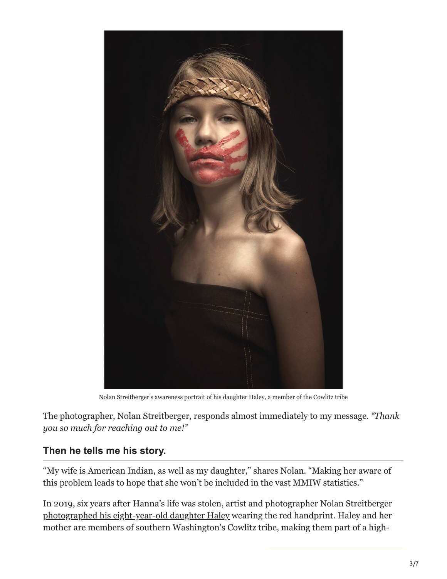

Nolan Streitberger's awareness portrait of his daughter Haley, a member of the Cowlitz tribe

The photographer, Nolan Streitberger, responds almost immediately to my message. *"Thank you so much for reaching out to me!"* 

#### **Then he tells me his story.**

"My wife is American Indian, as well as my daughter," shares Nolan. "Making her aware of this problem leads to hope that she won't be included in the vast MMIW statistics."

In 2019, six years after Hanna's life was stolen, artist and photographer Nolan Streitberger [photographed his eight-year-old daughter Haley](https://www.nolanstreitberger.com/blog/2019/11/6/642li1bggo0088lypnjy110mgreque) wearing the red handprint. Haley and her mother are members of southern Washington's Cowlitz tribe, making them part of a high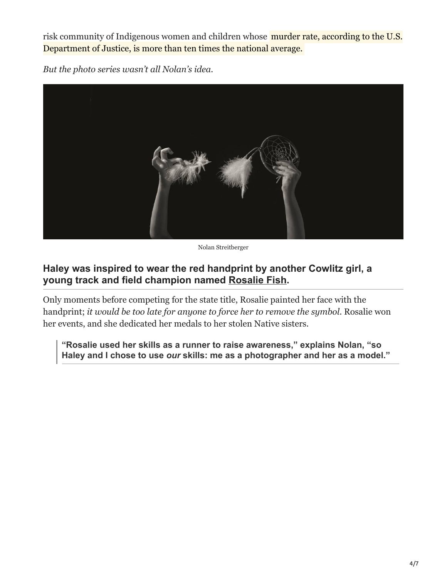risk community of Indigenous women and children whose **murder rate, according to the U.S.** Department of Justice, is more than ten times the national average.

*But the photo series wasn't all Nolan's idea.*



Nolan Streitberger

# **Haley was inspired to wear the red handprint by another Cowlitz girl, a young track and field champion named [Rosalie Fish.](https://www.runnersworld.com/runners-stories/a36052438/rosalie-fish-mmiw-activism-university-of-washington/)**

Only moments before competing for the state title, Rosalie painted her face with the handprint; *it would be too late for anyone to force her to remove the symbol.* Rosalie won her events, and she dedicated her medals to her stolen Native sisters.

**"Rosalie used her skills as a runner to raise awareness," explains Nolan, "so Haley and I chose to use** *our* **skills: me as a photographer and her as a model."**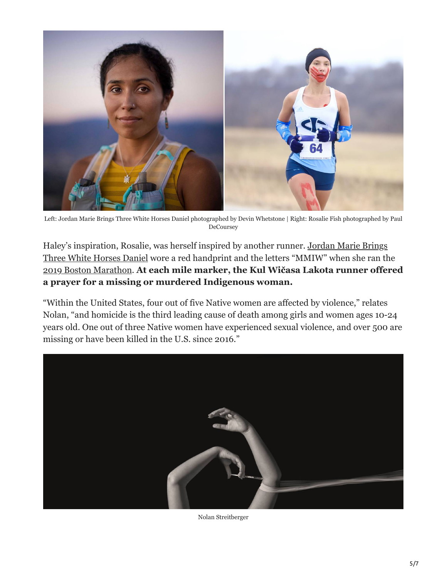

Left: Jordan Marie Brings Three White Horses Daniel photographed by Devin Whetstone | Right: Rosalie Fish photographed by Paul DeCoursey

Haley's inspiration, Rosalie, was herself inspired by another runner. Jordan Marie Brings [Three White Horses Daniel wore a red handprint and the letters "MMIW" when she ran th](https://www.runnersworld.com/runners-stories/a34418516/jordan-daniel-indigenous-women/)e [2019 Boston Marathon.](https://www.runnersworld.com/runners-stories/a27269729/mmiw-boston-marathon-advocacy-indigenous-women/) **At each mile marker, the Kul Wičasa Lakota runner offered a prayer for a missing or murdered Indigenous woman.**

"Within the United States, four out of five Native women are affected by violence," relates Nolan, "and homicide is the third leading cause of death among girls and women ages 10-24 years old. One out of three Native women have experienced sexual violence, and over 500 are missing or have been killed in the U.S. since 2016."



Nolan Streitberger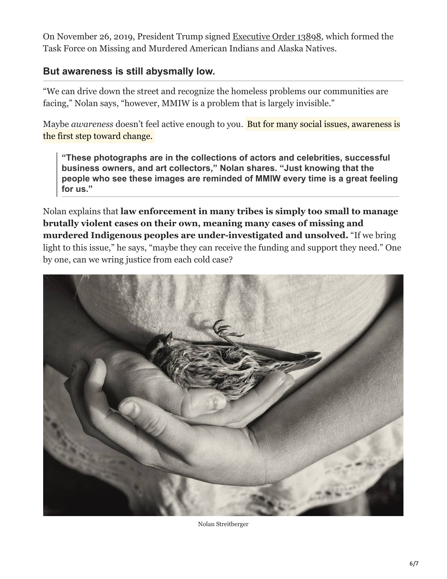On November 26, 2019, President Trump signed [Executive Order 13898](https://operationladyjustice.usdoj.gov/about/executive-order), which formed the Task Force on Missing and Murdered American Indians and Alaska Natives.

## **But awareness is still abysmally low.**

"We can drive down the street and recognize the homeless problems our communities are facing," Nolan says, "however, MMIW is a problem that is largely invisible."

Maybe *awareness* doesn't feel active enough to you. But for many social issues, awareness is the first step toward change.

**"These photographs are in the collections of actors and celebrities, successful business owners, and art collectors," Nolan shares. "Just knowing that the people who see these images are reminded of MMIW every time is a great feeling for us."**

Nolan explains that **law enforcement in many tribes is simply too small to manage brutally violent cases on their own, meaning many cases of missing and murdered Indigenous peoples are under-investigated and unsolved.** "If we bring light to this issue," he says, "maybe they can receive the funding and support they need." One by one, can we wring justice from each cold case?



Nolan Streitberger